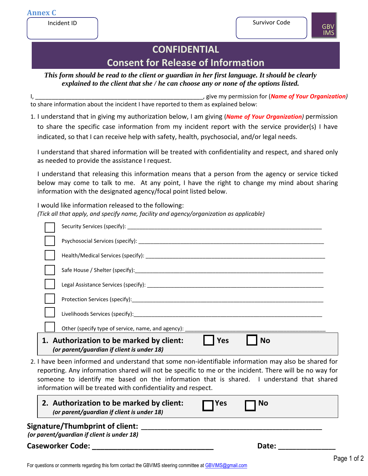

# **CONFIDENTIAL Consent for Release of Information**

*This form should be read to the client or guardian in her first language. It should be clearly explained to the client that she / he can choose any or none of the options listed.*

I, the contract of the contract of the contract of the contract of the contract of *I*, give my permission for (*Name of Your Organization*) to share information about the incident I have reported to them as explained below:

1. I understand that in giving my authorization below, I am giving (*Name of Your Organization)* permission to share the specific case information from my incident report with the service provider(s) I have indicated, so that I can receive help with safety, health, psychosocial, and/or legal needs.

I understand that shared information will be treated with confidentiality and respect, and shared only as needed to provide the assistance I request.

I understand that releasing this information means that a person from the agency or service ticked below may come to talk to me. At any point, I have the right to change my mind about sharing information with the designated agency/focal point listed below.

I would like information released to the following: *(Tick all that apply, and specify name, facility and agency/organization as applicable)* 

|                                                                                                      |  | Security Services (specify): Security Security Services (specify):                                                                                                                                                             |  |
|------------------------------------------------------------------------------------------------------|--|--------------------------------------------------------------------------------------------------------------------------------------------------------------------------------------------------------------------------------|--|
|                                                                                                      |  |                                                                                                                                                                                                                                |  |
|                                                                                                      |  | Health/Medical Services (specify): Name of the state of the service of the state of the state of the state of the state of the state of the state of the state of the state of the state of the state of the state of the stat |  |
|                                                                                                      |  | Safe House / Shelter (specify): ________________                                                                                                                                                                               |  |
|                                                                                                      |  |                                                                                                                                                                                                                                |  |
|                                                                                                      |  | Protection Services (specify): Notified that the service of the service of the service of the service of the service of the service of the service of the service of the service of the service of the service of the service  |  |
|                                                                                                      |  |                                                                                                                                                                                                                                |  |
|                                                                                                      |  | Other (specify type of service, name, and agency):                                                                                                                                                                             |  |
|                                                                                                      |  | 1. Authorization to be marked by client:<br><b>Yes</b><br><b>No</b><br>(or parent/guardian if client is under 18)                                                                                                              |  |
| 2. I have been informed and understand that some non-identifiable information may also be shared for |  |                                                                                                                                                                                                                                |  |

reporting. Any information shared will not be specific to me or the incident. There will be no way for someone to identify me based on the information that is shared. I understand that shared information will be treated with confidentiality and respect.

| 2. Authorization to be marked by client:<br>(or parent/guardian if client is under 18) | $\Box$ Yes | No ך  |  |
|----------------------------------------------------------------------------------------|------------|-------|--|
| Signature/Thumbprint of client:<br>(or parent/guardian if client is under 18)          |            |       |  |
| <b>Caseworker Code:</b>                                                                |            | Date: |  |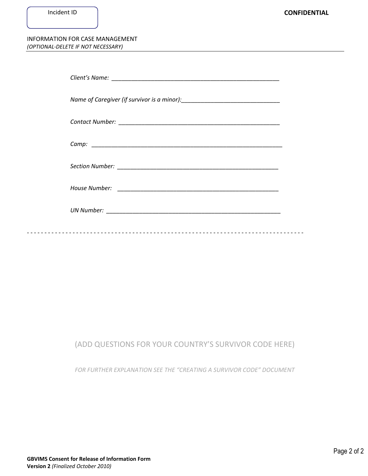#### INFORMATION FOR CASE MANAGEMENT *(OPTIONAL-DELETE IF NOT NECESSARY)*

### (ADD QUESTIONS FOR YOUR COUNTRY'S SURVIVOR CODE HERE)

FOR FURTHER EXPLANATION SEE THE "CREATING A SURVIVOR CODE" DOCUMENT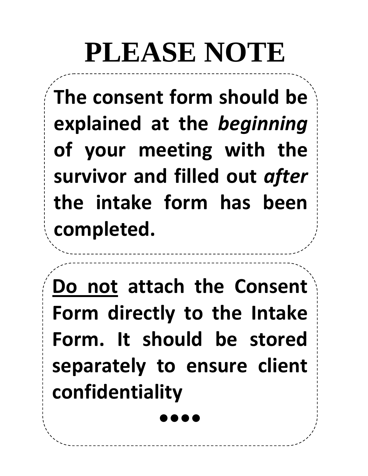# **PLEASE NOTE**

**The consent form should be explained at the** *beginning* **of your meeting with the survivor and filled out** *after* **the intake form has been completed.**

**Do not attach the Consent Form directly to the Intake Form. It should be stored separately to ensure client confidentiality** 

**••••**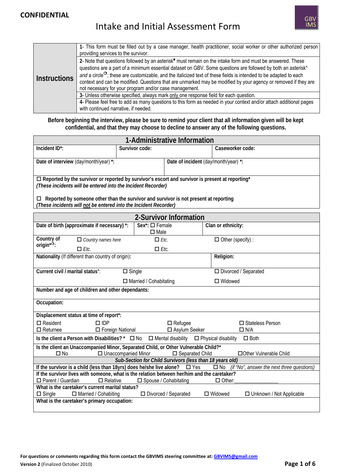### **CONFIDENTIAL**

## Intake and Initial Assessment Form

|                     | 1- This form must be filled out by a case manager, health practitioner, social worker or other authorized person<br>providing services to the survivor.                                                                                                                                                                                                                                                                                                                                                                                                  |
|---------------------|----------------------------------------------------------------------------------------------------------------------------------------------------------------------------------------------------------------------------------------------------------------------------------------------------------------------------------------------------------------------------------------------------------------------------------------------------------------------------------------------------------------------------------------------------------|
| <b>Instructions</b> | 2- Note that questions followed by an asterisk* must remain on the intake form and must be answered. These<br>questions are a part of a minimum essential dataset on GBV. Some questions are followed by both an asterisk*<br>and a circle <sup><math>\circ</math></sup> ; these are customizable, and the italicized text of these fields is intended to be adapted to each<br>context and can be modified. Questions that are unmarked may be modified by your agency or removed if they are<br>not necessary for your program and/or case management. |
|                     | 3- Unless otherwise specified, always mark only one response field for each question.                                                                                                                                                                                                                                                                                                                                                                                                                                                                    |
|                     | 4- Please feel free to add as many questions to this form as needed in your context and/or attach additional pages                                                                                                                                                                                                                                                                                                                                                                                                                                       |
|                     | with continued narrative, if needed.                                                                                                                                                                                                                                                                                                                                                                                                                                                                                                                     |

#### **Before beginning the interview, please be sure to remind your client that all information given will be kept confidential, and that they may choose to decline to answer any of the following questions.**

| 1-Administrative Information                                                                                                                                  |                |                                      |                  |  |
|---------------------------------------------------------------------------------------------------------------------------------------------------------------|----------------|--------------------------------------|------------------|--|
| Incident ID <sup>*</sup> :                                                                                                                                    | Survivor code: |                                      | Caseworker code: |  |
| Date of interview (day/month/year) *:                                                                                                                         |                | Date of incident (day/month/year) *: |                  |  |
|                                                                                                                                                               |                |                                      |                  |  |
| $\Box$ Reported by the survivor or reported by survivor's escort and survivor is present at reporting*                                                        |                |                                      |                  |  |
| (These incidents will be entered into the Incident Recorder)                                                                                                  |                |                                      |                  |  |
| Reported by someone other than the survivor and survivor is not present at reporting<br>□<br>(These incidents will not be entered into the Incident Recorder) |                |                                      |                  |  |

| 2-Survivor Information                                                                                                                         |                                            |                                                   |  |  |
|------------------------------------------------------------------------------------------------------------------------------------------------|--------------------------------------------|---------------------------------------------------|--|--|
| Date of birth (approximate if necessary) *:                                                                                                    | $Sex$ : $\square$ Female<br>$\square$ Male | Clan or ethnicity:                                |  |  |
| Country of<br>$\Box$ Country names here                                                                                                        | $\Box$ Etc.                                | $\Box$ Other (specify) :                          |  |  |
| origin <sup><math>*</math>o</sup> :<br>$\Box$ Etc.                                                                                             | $\Box$ Etc.                                |                                                   |  |  |
| Nationality (If different than country of origin):                                                                                             |                                            | Religion:                                         |  |  |
| Current civil / marital status*:                                                                                                               | $\square$ Single                           | $\Box$ Divorced / Separated                       |  |  |
|                                                                                                                                                | $\Box$ Married / Cohabitating              | $\Box$ Widowed                                    |  |  |
| Number and age of children and other dependants:                                                                                               |                                            |                                                   |  |  |
| Occupation:                                                                                                                                    |                                            |                                                   |  |  |
| Displacement status at time of report*:                                                                                                        |                                            |                                                   |  |  |
| $\Box$ Resident<br>$\square$ IDP                                                                                                               | $\Box$ Refugee                             | □ Stateless Person                                |  |  |
| $\Box$ Returnee<br>□ Foreign National                                                                                                          | □ Asylum Seeker                            | $\Box$ N/A                                        |  |  |
| Is the client a Person with Disabilities? * $\Box$ No $\Box$ Mental disability $\Box$ Physical disability<br>$\Box$ Both                       |                                            |                                                   |  |  |
| Is the client an Unaccompanied Minor, Separated Child, or Other Vulnerable Child?*                                                             |                                            |                                                   |  |  |
| $\Box$ Unaccompanied Minor<br>$\Box$ No<br>$\square$ Separated Child<br>□ Other Vulnerable Child                                               |                                            |                                                   |  |  |
| Sub-Section for Child Survivors (less than 18 years old)                                                                                       |                                            |                                                   |  |  |
| If the survivor is a child (less than 18 yrs) does he/she live alone? $\Box$ Yes<br>$\square$ No<br>(if "No", answer the next three questions) |                                            |                                                   |  |  |
| If the survivor lives with someone, what is the relation between her/him and the caretaker?                                                    |                                            |                                                   |  |  |
| $\Box$ Parent / Guardian<br>$\Box$ Relative                                                                                                    | □ Spouse / Cohabitating                    | $\Box$ Other:                                     |  |  |
| What is the caretaker's current marital status?                                                                                                |                                            |                                                   |  |  |
| □ Married / Cohabiting<br>$\Box$ Single                                                                                                        | □ Divorced / Separated                     | $\Box$ Widowed<br>$\Box$ Unknown / Not Applicable |  |  |
| What is the caretaker's primary occupation:                                                                                                    |                                            |                                                   |  |  |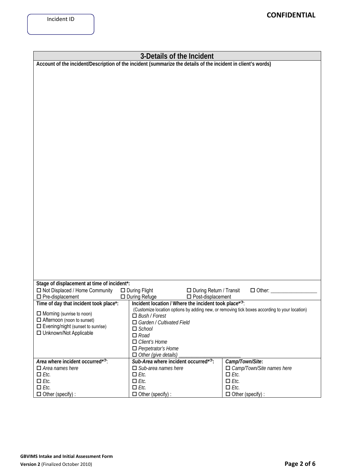| 3-Details of the Incident                                                                                     |                                                                                               |                                  |  |  |
|---------------------------------------------------------------------------------------------------------------|-----------------------------------------------------------------------------------------------|----------------------------------|--|--|
| Account of the incident/Description of the incident (summarize the details of the incident in client's words) |                                                                                               |                                  |  |  |
|                                                                                                               |                                                                                               |                                  |  |  |
|                                                                                                               |                                                                                               |                                  |  |  |
|                                                                                                               |                                                                                               |                                  |  |  |
|                                                                                                               |                                                                                               |                                  |  |  |
|                                                                                                               |                                                                                               |                                  |  |  |
|                                                                                                               |                                                                                               |                                  |  |  |
|                                                                                                               |                                                                                               |                                  |  |  |
|                                                                                                               |                                                                                               |                                  |  |  |
|                                                                                                               |                                                                                               |                                  |  |  |
|                                                                                                               |                                                                                               |                                  |  |  |
|                                                                                                               |                                                                                               |                                  |  |  |
|                                                                                                               |                                                                                               |                                  |  |  |
|                                                                                                               |                                                                                               |                                  |  |  |
|                                                                                                               |                                                                                               |                                  |  |  |
|                                                                                                               |                                                                                               |                                  |  |  |
|                                                                                                               |                                                                                               |                                  |  |  |
|                                                                                                               |                                                                                               |                                  |  |  |
|                                                                                                               |                                                                                               |                                  |  |  |
|                                                                                                               |                                                                                               |                                  |  |  |
|                                                                                                               |                                                                                               |                                  |  |  |
|                                                                                                               |                                                                                               |                                  |  |  |
|                                                                                                               |                                                                                               |                                  |  |  |
|                                                                                                               |                                                                                               |                                  |  |  |
|                                                                                                               |                                                                                               |                                  |  |  |
|                                                                                                               |                                                                                               |                                  |  |  |
|                                                                                                               |                                                                                               |                                  |  |  |
|                                                                                                               |                                                                                               |                                  |  |  |
|                                                                                                               |                                                                                               |                                  |  |  |
| Stage of displacement at time of incident*:                                                                   |                                                                                               |                                  |  |  |
| □ Not Displaced / Home Community                                                                              | $\Box$ During Flight<br>□ During Return / Transit                                             | $\Box$ Other:                    |  |  |
| $\square$ Pre-displacement                                                                                    | $\Box$ During Refuge<br>$\square$ Post-displacement                                           |                                  |  |  |
| Time of day that incident took place*:                                                                        | Incident location / Where the incident took place* <sup>o</sup> :                             |                                  |  |  |
| $\Box$ Morning (sunrise to noon)                                                                              | (Customize location options by adding new, or removing tick boxes according to your location) |                                  |  |  |
| $\Box$ Afternoon (noon to sunset)                                                                             | $\Box$ Bush / Forest                                                                          |                                  |  |  |
| $\Box$ Evening/night (sunset to sunrise)                                                                      | $\Box$ Garden / Cultivated Field                                                              |                                  |  |  |
| $\Box$ School<br>□ Unknown/Not Applicable<br>$\Box$ Road                                                      |                                                                                               |                                  |  |  |
|                                                                                                               | $\Box$ Client's Home                                                                          |                                  |  |  |
|                                                                                                               | $\Box$ Perpetrator's Home                                                                     |                                  |  |  |
|                                                                                                               | $\Box$ Other (give details)                                                                   |                                  |  |  |
| Area where incident occurred <sup>*O</sup> :                                                                  | Sub-Area where incident occurred <sup>*O</sup> :                                              | Camp/Town/Site:                  |  |  |
| $\Box$ Area names here                                                                                        | $\Box$ Sub-area names here                                                                    | $\Box$ Camp/Town/Site names here |  |  |
| $\Box$ <i>Etc.</i>                                                                                            | $\Box$ <i>Etc.</i>                                                                            | $\Box$ Etc.                      |  |  |
| $\Box$ <i>Etc.</i>                                                                                            | $\Box$ Etc.                                                                                   | $\Box$ Etc.                      |  |  |
| $\Box$ <i>Etc.</i>                                                                                            | $\Box$ <i>Etc.</i>                                                                            | $\Box$ Etc.                      |  |  |
| $\Box$ Other (specify) :                                                                                      | $\Box$ Other (specify) :                                                                      | $\Box$ Other (specify) :         |  |  |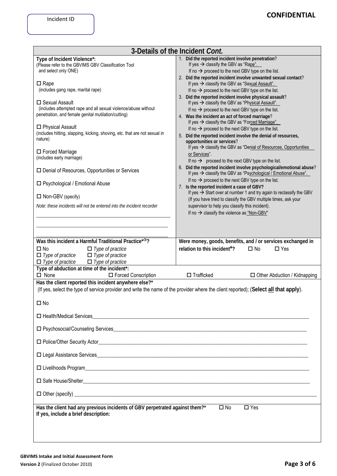| 3-Details of the Incident Cont.                                                                                                                                                                                                                                                                                                                                                                                                                                                                                                                                                                                                                                                                                                |                                                                                                                                                                                                                                                                                                                                                                                                                                                                                                                                                                                                                                                                                                                                                                                                                                                                                                                                                                                                                                                                                                                                                                                                                                                                                                                                                                                                                                                                                                                                                  |  |  |
|--------------------------------------------------------------------------------------------------------------------------------------------------------------------------------------------------------------------------------------------------------------------------------------------------------------------------------------------------------------------------------------------------------------------------------------------------------------------------------------------------------------------------------------------------------------------------------------------------------------------------------------------------------------------------------------------------------------------------------|--------------------------------------------------------------------------------------------------------------------------------------------------------------------------------------------------------------------------------------------------------------------------------------------------------------------------------------------------------------------------------------------------------------------------------------------------------------------------------------------------------------------------------------------------------------------------------------------------------------------------------------------------------------------------------------------------------------------------------------------------------------------------------------------------------------------------------------------------------------------------------------------------------------------------------------------------------------------------------------------------------------------------------------------------------------------------------------------------------------------------------------------------------------------------------------------------------------------------------------------------------------------------------------------------------------------------------------------------------------------------------------------------------------------------------------------------------------------------------------------------------------------------------------------------|--|--|
| Type of Incident Violence*:<br>(Please refer to the GBVIMS GBV Classification Tool<br>and select only ONE)<br>$\Box$ Rape<br>(includes gang rape, marital rape)<br>$\Box$ Sexual Assault<br>(includes attempted rape and all sexual violence/abuse without<br>penetration, and female genital mutilation/cutting)<br>$\Box$ Physical Assault<br>(includes hitting, slapping, kicking, shoving, etc. that are not sexual in<br>nature)<br>□ Forced Marriage<br>(includes early marriage)<br>$\square$ Denial of Resources, Opportunities or Services<br>□ Psychological / Emotional Abuse<br>$\Box$ Non-GBV (specify)<br>Note: these incidents will not be entered into the incident recorder                                   | 1. Did the reported incident involve penetration?<br>If yes $\rightarrow$ classify the GBV as "Rape".<br>If no $\rightarrow$ proceed to the next GBV type on the list.<br>2. Did the reported incident involve unwanted sexual contact?<br>If yes $\rightarrow$ classify the GBV as "Sexual Assault".<br>If no $\rightarrow$ proceed to the next GBV type on the list.<br>3. Did the reported incident involve physical assault?<br>If yes $\rightarrow$ classify the GBV as "Physical Assault".<br>If no $\rightarrow$ proceed to the next GBV type on the list.<br>4. Was the incident an act of forced marriage?<br>If yes $\rightarrow$ classify the GBV as "Forced Marriage".<br>If no $\rightarrow$ proceed to the next GBV type on the list.<br>5. Did the reported incident involve the denial of resources,<br>opportunities or services?<br>If yes → classify the GBV as "Denial of Resources, Opportunities<br>or Services".<br>If no $\rightarrow$ proceed to the next GBV type on the list.<br>6. Did the reported incident involve psychological/emotional abuse?<br>If yes $\rightarrow$ classify the GBV as "Psychological / Emotional Abuse".<br>If no $\rightarrow$ proceed to the next GBV type on the list.<br>7. Is the reported incident a case of GBV?<br>If yes $\rightarrow$ Start over at number 1 and try again to reclassify the GBV<br>(If you have tried to classify the GBV multiple times, ask your<br>supervisor to help you classify this incident).<br>If no $\rightarrow$ classify the violence as "Non-GBV" |  |  |
| Was this incident a Harmful Traditional Practice <sup>*O</sup> ?<br>Were money, goods, benefits, and / or services exchanged in<br>relation to this incident <sup>*</sup> ?<br>$\Box$ No<br>$\Box$ Type of practice<br>$\Box$ No<br>$\Box$ Yes<br>$\Box$ Type of practice<br>$\Box$ Type of practice<br>$\Box$ Type of practice<br>$\Box$ Type of practice<br>Type of abduction at time of the incident*:<br>$\Box$ Trafficked<br>$\Box$ None<br>□ Forced Conscription<br>$\Box$ Other Abduction / Kidnapping<br>Has the client reported this incident anywhere else?*<br>(If yes, select the type of service provider and write the name of the provider where the client reported); (Select all that apply).<br>$\square$ No |                                                                                                                                                                                                                                                                                                                                                                                                                                                                                                                                                                                                                                                                                                                                                                                                                                                                                                                                                                                                                                                                                                                                                                                                                                                                                                                                                                                                                                                                                                                                                  |  |  |
| □ Health/Medical Services<br>□ Health/Medical Services<br>□ Health/Medical Services<br>□ Health/Medical Services<br>□ Health/Medical Services<br>□ Health/Medical Services<br>□ Health/Medical Services<br>□ Health/Medic                                                                                                                                                                                                                                                                                                                                                                                                                                                                                                      |                                                                                                                                                                                                                                                                                                                                                                                                                                                                                                                                                                                                                                                                                                                                                                                                                                                                                                                                                                                                                                                                                                                                                                                                                                                                                                                                                                                                                                                                                                                                                  |  |  |
|                                                                                                                                                                                                                                                                                                                                                                                                                                                                                                                                                                                                                                                                                                                                |                                                                                                                                                                                                                                                                                                                                                                                                                                                                                                                                                                                                                                                                                                                                                                                                                                                                                                                                                                                                                                                                                                                                                                                                                                                                                                                                                                                                                                                                                                                                                  |  |  |
|                                                                                                                                                                                                                                                                                                                                                                                                                                                                                                                                                                                                                                                                                                                                |                                                                                                                                                                                                                                                                                                                                                                                                                                                                                                                                                                                                                                                                                                                                                                                                                                                                                                                                                                                                                                                                                                                                                                                                                                                                                                                                                                                                                                                                                                                                                  |  |  |
|                                                                                                                                                                                                                                                                                                                                                                                                                                                                                                                                                                                                                                                                                                                                |                                                                                                                                                                                                                                                                                                                                                                                                                                                                                                                                                                                                                                                                                                                                                                                                                                                                                                                                                                                                                                                                                                                                                                                                                                                                                                                                                                                                                                                                                                                                                  |  |  |
|                                                                                                                                                                                                                                                                                                                                                                                                                                                                                                                                                                                                                                                                                                                                |                                                                                                                                                                                                                                                                                                                                                                                                                                                                                                                                                                                                                                                                                                                                                                                                                                                                                                                                                                                                                                                                                                                                                                                                                                                                                                                                                                                                                                                                                                                                                  |  |  |
| D Safe House/Shelter 2002 Contract 2003 Contract 2003 Contract 2003 Contract 2003 Contract 2003 Contract 2003                                                                                                                                                                                                                                                                                                                                                                                                                                                                                                                                                                                                                  |                                                                                                                                                                                                                                                                                                                                                                                                                                                                                                                                                                                                                                                                                                                                                                                                                                                                                                                                                                                                                                                                                                                                                                                                                                                                                                                                                                                                                                                                                                                                                  |  |  |
| $\Box$ Other (specify) $\Box$                                                                                                                                                                                                                                                                                                                                                                                                                                                                                                                                                                                                                                                                                                  |                                                                                                                                                                                                                                                                                                                                                                                                                                                                                                                                                                                                                                                                                                                                                                                                                                                                                                                                                                                                                                                                                                                                                                                                                                                                                                                                                                                                                                                                                                                                                  |  |  |
| $\square$ Yes<br>Has the client had any previous incidents of GBV perpetrated against them?*<br>$\square$ No<br>If yes, include a brief description:                                                                                                                                                                                                                                                                                                                                                                                                                                                                                                                                                                           |                                                                                                                                                                                                                                                                                                                                                                                                                                                                                                                                                                                                                                                                                                                                                                                                                                                                                                                                                                                                                                                                                                                                                                                                                                                                                                                                                                                                                                                                                                                                                  |  |  |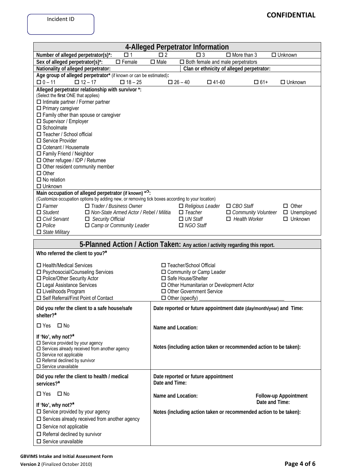|                                                                                                                                                                                                                                                                                                                                                                                                                                                                                                                                        | 4-Alleged Perpetrator Information                                                                                                                                                                                 |
|----------------------------------------------------------------------------------------------------------------------------------------------------------------------------------------------------------------------------------------------------------------------------------------------------------------------------------------------------------------------------------------------------------------------------------------------------------------------------------------------------------------------------------------|-------------------------------------------------------------------------------------------------------------------------------------------------------------------------------------------------------------------|
| Number of alleged perpetrator(s)*:<br>□ 1                                                                                                                                                                                                                                                                                                                                                                                                                                                                                              | $\square$ 2<br>$\Box$ More than 3<br>$\Box$ Unknown<br>$\square$ 3                                                                                                                                                |
| Sex of alleged perpetrator(s)*:<br>$\square$ Female                                                                                                                                                                                                                                                                                                                                                                                                                                                                                    | $\square$ Male<br>$\square$ Both female and male perpetrators                                                                                                                                                     |
| Nationality of alleged perpetrator:                                                                                                                                                                                                                                                                                                                                                                                                                                                                                                    | Clan or ethnicity of alleged perpetrator:                                                                                                                                                                         |
| Age group of alleged perpetrator* (if known or can be estimated):<br>$\Box$ 0 – 11<br>$\Box$ 12 – 17<br>$\Box$ 18 - 25                                                                                                                                                                                                                                                                                                                                                                                                                 | $\Box$ 26 - 40<br>$\square$ 41-60<br>$\Box$ 61+<br>$\Box$ Unknown                                                                                                                                                 |
| Alleged perpetrator relationship with survivor *:<br>(Select the first ONE that applies)<br>$\Box$ Intimate partner / Former partner<br>$\square$ Primary caregiver<br>$\square$ Family other than spouse or caregiver<br>□ Supervisor / Employer<br>$\square$ Schoolmate<br>□ Teacher / School official<br>□ Service Provider<br>□ Cotenant / Housemate<br>$\Box$ Family Friend / Neighbor<br>$\Box$ Other refugee / IDP / Returnee<br>$\Box$ Other resident community member<br>$\Box$ Other<br>$\Box$ No relation<br>$\Box$ Unknown |                                                                                                                                                                                                                   |
| Main occupation of alleged perpetrator (if known) * <sup>o</sup> :<br>(Customize occupation options by adding new, or removing tick boxes according to your location)<br>$\Box$ Farmer<br>$\Box$ Trader / Business Owner<br>$\Box$ Student<br>□ Non-State Armed Actor / Rebel / Militia<br>$\Box$ Security Official<br>$\Box$ Civil Servant<br>$\Box$ Police<br>$\Box$ Camp or Community Leader<br>$\Box$ State Military                                                                                                               | $\Box$ Other<br>$\Box$ CBO Staff<br>$\Box$ Religious Leader<br>$\Box$ Teacher<br>$\Box$ Community Volunteer<br>$\Box$ Unemployed<br>$\Box$ Health Worker<br>$\Box$ Unknown<br>$\Box$ UN Staff<br>$\Box$ NGO Staff |
|                                                                                                                                                                                                                                                                                                                                                                                                                                                                                                                                        | 5-Planned Action / Action Taken: Any action / activity regarding this report.                                                                                                                                     |
| Who referred the client to you?*                                                                                                                                                                                                                                                                                                                                                                                                                                                                                                       |                                                                                                                                                                                                                   |
| □ Health/Medical Services<br>□ Psychosocial/Counseling Services<br>□ Police/Other Security Actor<br>□ Legal Assistance Services<br>□ Livelihoods Program<br>□ Self Referral/First Point of Contact                                                                                                                                                                                                                                                                                                                                     | □ Teacher/School Official<br>□ Community or Camp Leader<br>□ Safe House/Shelter<br>$\Box$ Other Humanitarian or Development Actor<br>□ Other Government Service<br>$\Box$ Other (specify)                         |
| Did you refer the client to a safe house/safe<br>shelter?*                                                                                                                                                                                                                                                                                                                                                                                                                                                                             | Date reported or future appointment date (day/month/year) and Time:                                                                                                                                               |
| $\square$ No<br>$\square$ Yes                                                                                                                                                                                                                                                                                                                                                                                                                                                                                                          | Name and Location:                                                                                                                                                                                                |
| If 'No', why not?*<br>$\square$ Service provided by your agency<br>$\square$ Services already received from another agency<br>$\square$ Service not applicable<br>$\Box$ Referral declined by survivor<br>$\square$ Service unavailable                                                                                                                                                                                                                                                                                                | Notes (including action taken or recommended action to be taken):                                                                                                                                                 |
| Did you refer the client to health / medical<br>services?*                                                                                                                                                                                                                                                                                                                                                                                                                                                                             | Date reported or future appointment<br>Date and Time:                                                                                                                                                             |
| $\square$ No<br>$\square$ Yes                                                                                                                                                                                                                                                                                                                                                                                                                                                                                                          | Name and Location:<br><b>Follow-up Appointment</b>                                                                                                                                                                |
| If 'No', why not?*<br>$\Box$ Service provided by your agency<br>$\square$ Services already received from another agency<br>$\square$ Service not applicable<br>$\Box$ Referral declined by survivor<br>$\square$ Service unavailable                                                                                                                                                                                                                                                                                                   | Date and Time:<br>Notes (including action taken or recommended action to be taken):                                                                                                                               |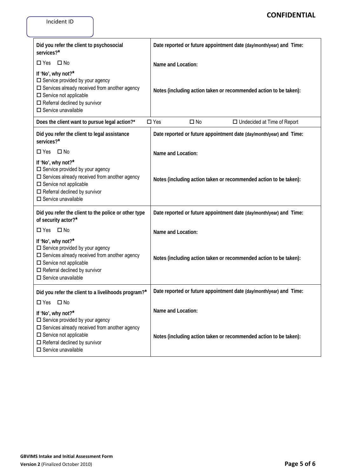| Did you refer the client to psychosocial<br>services?*                                                                                                                                                                                  | Date reported or future appointment date (day/month/year) and Time: |
|-----------------------------------------------------------------------------------------------------------------------------------------------------------------------------------------------------------------------------------------|---------------------------------------------------------------------|
| $\square$ No<br>$\Box$ Yes                                                                                                                                                                                                              | Name and Location:                                                  |
| If 'No', why not?*<br>$\Box$ Service provided by your agency<br>$\square$ Services already received from another agency<br>$\square$ Service not applicable<br>$\Box$ Referral declined by survivor<br>$\square$ Service unavailable    | Notes (including action taken or recommended action to be taken):   |
| Does the client want to pursue legal action?*                                                                                                                                                                                           | $\square$ Yes<br>$\square$ No<br>$\Box$ Undecided at Time of Report |
| Did you refer the client to legal assistance<br>services?*                                                                                                                                                                              | Date reported or future appointment date (day/month/year) and Time: |
| $\square$ No<br>$\Box$ Yes                                                                                                                                                                                                              | Name and Location:                                                  |
| If 'No', why not?*<br>$\square$ Service provided by your agency<br>$\square$ Services already received from another agency<br>$\square$ Service not applicable<br>$\Box$ Referral declined by survivor<br>$\square$ Service unavailable | Notes (including action taken or recommended action to be taken):   |
| Did you refer the client to the police or other type<br>of security actor?*                                                                                                                                                             | Date reported or future appointment date (day/month/year) and Time: |
| $\square$ No<br>$\Box$ Yes                                                                                                                                                                                                              | Name and Location:                                                  |
| If 'No', why not?*<br>$\Box$ Service provided by your agency<br>$\square$ Services already received from another agency<br>$\square$ Service not applicable<br>$\Box$ Referral declined by survivor<br>$\square$ Service unavailable    | Notes (including action taken or recommended action to be taken):   |
| Did you refer the client to a livelihoods program?*<br>$\square$ No<br>$\Box$ Yes                                                                                                                                                       | Date reported or future appointment date (day/month/year) and Time: |
| If 'No', why not?*                                                                                                                                                                                                                      | Name and Location:                                                  |
| $\Box$ Service provided by your agency<br>$\square$ Services already received from another agency<br>$\square$ Service not applicable<br>$\square$ Referral declined by survivor<br>$\square$ Service unavailable                       | Notes (including action taken or recommended action to be taken):   |

Incident ID

**CONFIDENTIAL**